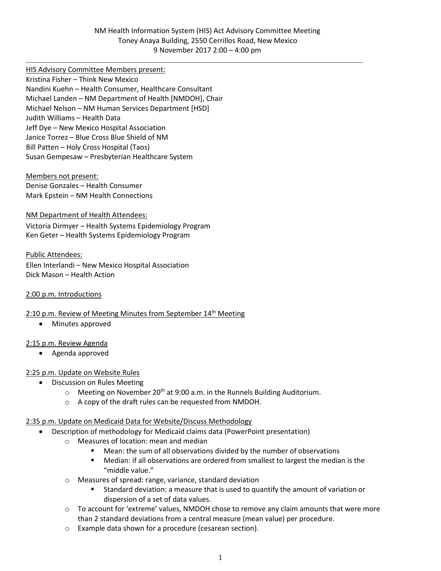HIS Advisory Committee Members present:

Kristina Fisher – Think New Mexico Nandini Kuehn – Health Consumer, Healthcare Consultant Michael Landen – NM Department of Health [NMDOH], Chair Michael Nelson – NM Human Services Department [HSD] Judith Williams – Health Data Jeff Dye – New Mexico Hospital Association Janice Torrez – Blue Cross Blue Shield of NM Bill Patten – Holy Cross Hospital (Taos) Susan Gempesaw – Presbyterian Healthcare System

Members not present: Denise Gonzales – Health Consumer Mark Epstein – NM Health Connections

NM Department of Health Attendees:

Victoria Dirmyer – Health Systems Epidemiology Program Ken Geter – Health Systems Epidemiology Program

Public Attendees: Ellen Interlandi – New Mexico Hospital Association Dick Mason – Health Action

2:00 p.m. Introductions

### 2:10 p.m. Review of Meeting Minutes from September 14<sup>th</sup> Meeting

• Minutes approved

### 2:15 p.m. Review Agenda

• Agenda approved

# 2:25 p.m. Update on Website Rules

- Discussion on Rules Meeting
	- $\circ$  Meeting on November 20<sup>th</sup> at 9:00 a.m. in the Runnels Building Auditorium.
	- o A copy of the draft rules can be requested from NMDOH.

### 2:35 p.m. Update on Medicaid Data for Website/Discuss Methodology

- Description of methodology for Medicaid claims data (PowerPoint presentation)
	- o Measures of location: mean and median
		- Mean: the sum of all observations divided by the number of observations
		- Median: if all observations are ordered from smallest to largest the median is the "middle value."
	- o Measures of spread: range, variance, standard deviation
		- Standard deviation: a measure that is used to quantify the amount of variation or dispersion of a set of data values.
	- $\circ$  To account for 'extreme' values, NMDOH chose to remove any claim amounts that were more than 2 standard deviations from a central measure (mean value) per procedure.
	- o Example data shown for a procedure (cesarean section).